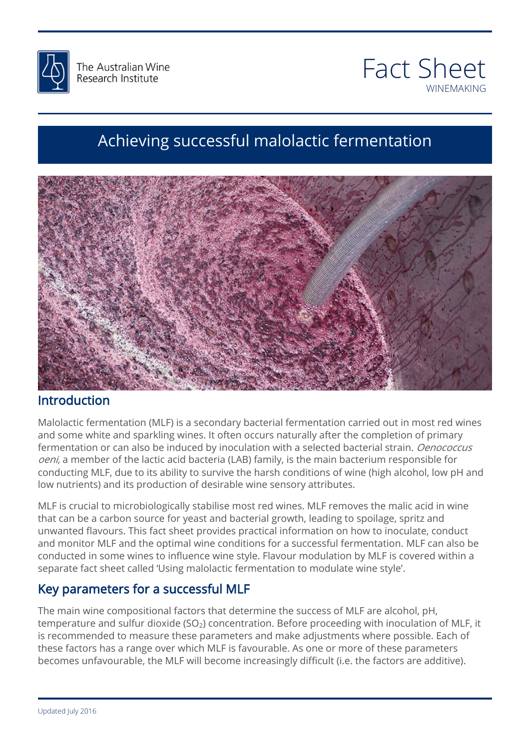



<u>Winemaking Series (Series Series Series)</u>

# http://www.ebay.com Achieving successful malolactic fermentation



### Introduction

mtrouuction<br>Malolactic fermentation (MLF) is a secondary bacterial fermentation carried out in most red wines and some whice and spanning which it often oceans hatch any after the completion or primary<br>fermentation or can also be induced by inoculation with a selected bacterial strain. *Oenococcus*<br>*oeni*, a member of the lactic a portuncting the r, due to its ability to sarvive the harafi conditions of wine (ingit alcohol), low pri and low nutrients) and its production of desirable wine sensory attributes. and some white and sparkling wines. It often occurs naturally after the completion of primary oeni, a member of the lactic acid bacteria (LAB) family, is the main bacterium responsible for conducting MLF, due to its ability to survive the harsh conditions of wine (high alcohol, low pH and

that can be a carbon source for yeast and bacterial growth, leading to spoilage, spritz and<br>unwanted flavours. This fact sheet provides practical information on how to inoculate, conduct and monitor man and the optimal mine conditions for a successive reminitation man can disc be<br>conducted in some wines to influence wine style. Flavour modulation by MLF is covered within a<br>separate fact sheet called 'Using MLF is crucial to microbiologically stabilise most red wines. MLF removes the malic acid in wine that can be a carbon source for yeast and bacterial growth, leading to spoilage, spritz and and monitor MLF and the optimal wine conditions for a successful fermentation. MLF can also be separate fact sheet called 'Using malolactic fermentation to modulate wine style'.

### Key parameters for a successful MLF

6474 The main wine compositional factors that determine the success of MLF are alcohol, pH, temperature and sulfur dioxide (SO<sub>2</sub>) concentration. Before proceeding with inoculation of MLF, it is recommended to measure these parameters and make adjustments where possible. Each of these factors has a range over which MLF is favourable. As one or more of these parameters becomes unfavourable, the MLF will become increasingly difficult (i.e. the factors are additive).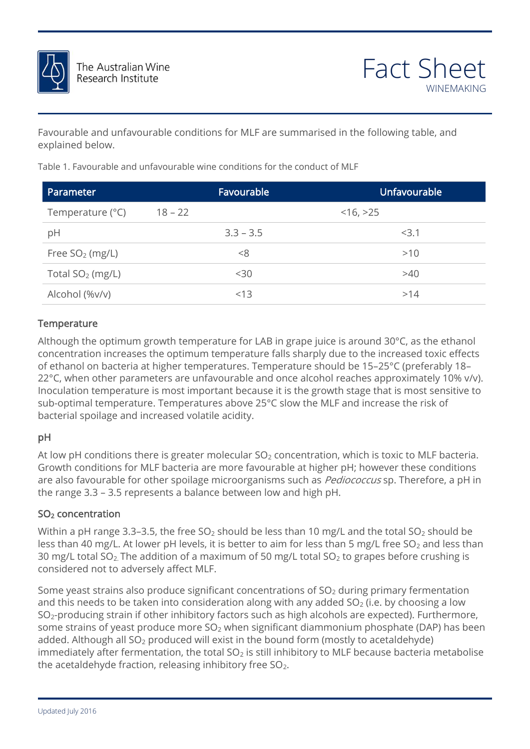

WINE METAL SERIES AND THE SERIES OF THE SERIES AND THE SERIES OF THE SERIES OF THE SERIES OF THE SERIES OF THE Favourable and unfavourable conditions for MLF are summarised in the following table, and explained below.

| Parameter          |           | Favourable  | <b>Unfavourable</b> |
|--------------------|-----------|-------------|---------------------|
| Temperature (°C)   | $18 - 22$ |             | $<$ 16, $>$ 25      |
| pH                 |           | $3.3 - 3.5$ | <3.1                |
| Free $SO2$ (mg/L)  |           | <8          | >10                 |
| Total $SO2$ (mg/L) |           | $30$        | >40                 |
| Alcohol (%v/v)     |           | <13         | >14                 |
|                    |           |             |                     |

cxplained below.<br>Table 1. Favourable and unfavourable wine conditions for the conduct of MLF

#### **Temperature**

grape juice is around 30°C, as the ethanol<br>s sharply due to the increased toxic effects iture should be 15–25°C (preferably 18–<br>e alcohol reaches approximately 10% v/v).<br>the growth stage that is most sonsitive to sub-optimal temperature. Temperatures above 25°C slow the MLF and increase the risk of<br>bacterial spoilage and increased volatile acidity. Although the optimum growth temperature for LAB in grape juice is around 30°C, as the ethanol concentration increases the optimum temperature falls sharply due to the increased toxic effects of ethanol on bacteria at higher temperatures. Temperature should be 15–25°C (preferably 18– 22°C, when other parameters are unfavourable and once alcohol reaches approximately 10% v/v). Inoculation temperature is most important because it is the growth stage that is most sensitive to bacterial spoilage and increased volatile acidity.

### pH

pn<br>At low pH conditions there is greater molecular SO<sub>2</sub> concentration, which is toxic to MLF bacteria. are also favourable for other spoilage microorganisms such as *Pediococcus* sp. Therefore, a pH in<br>the range 3.3 – 3.5 represents a balance between low and high pH. Growth conditions for MLF bacteria are more favourable at higher pH; however these conditions the range 3.3 – 3.5 represents a balance between low and high pH.

#### SO2 concentration

**SO<sub>2</sub> concentration**<br>Within a pH range 3.3–3.5, the free SO<sub>2</sub> should be less than 10 mg/L and the total SO<sub>2</sub> should be as their to mg/L. At lower principal, it is setter to all triol ress than single nee so<sub>2</sub> and ress than<br>30 mg/L total SO<sub>2</sub>. The addition of a maximum of 50 mg/L total SO<sub>2</sub> to grapes before crushing is<br>considered not to less than 40 mg/L. At lower pH levels, it is better to aim for less than 5 mg/L free SO<sub>2</sub> and less than considered not to adversely affect MLF.

Some yeast strains also produce significant concentrations of SO<sub>2</sub> during primary fermentation<br>and this needs to be taken into consideration along with any added SO<sub>2</sub> (i.e. by choosing a low and this needs to be taken into consideration along with any added  $SO<sub>2</sub>$  (i.e. by choosing a low SO2-producing strain if other inhibitory factors such as high alcohols are expected). Furthermore, some strains of yeast produce more  $SO<sub>2</sub>$  when significant diammonium phosphate (DAP) has been added. Although all SO<sub>2</sub> produced will exist in the bound form (mostly to acetaldehyde) immediately after fermentation, the total  $SO<sub>2</sub>$  is still inhibitory to MLF because bacteria metabolise the acetaldehyde fraction, releasing inhibitory free SO<sub>2</sub>.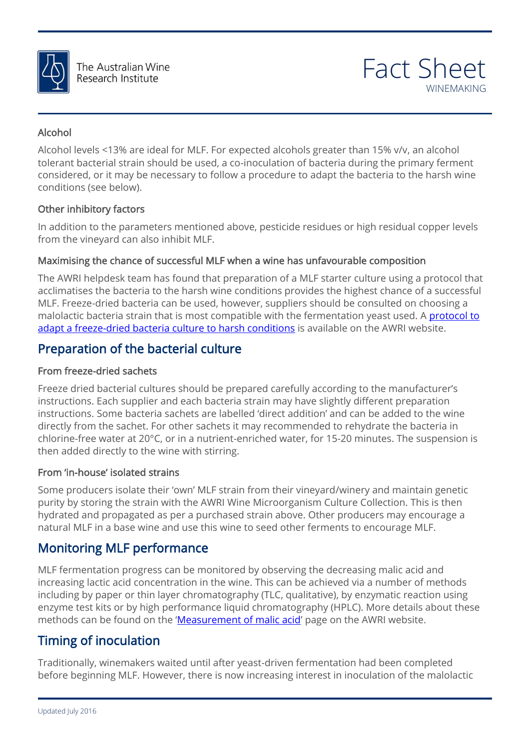

WINE METAL SERIES AND THE SERIES OF THE SERIES AND THE SERIES OF THE SERIES OF THE SERIES OF THE SERIES OF THE

### Alcohol

Alcohol levels <13% are ideal for MLF. For expected alcohols greater than 15% v/v, an alcohol<br>tolerant bacterial strain should be used, a co-inoculation of bacteria during the primary ferment<br>\_\_\_\_\_\_\_\_\_\_\_\_\_\_\_\_\_\_\_\_\_\_\_\_\_\_\_\_\_\_ Alcohol levels <13% are ideal for MLF. For expected alcohols greater than 15% v/v, an alcohol considered, or it may be necessary to follow a procedure to adapt the bacteria to the harsh wine conditions (see below).

#### Other inhibitory factors

In addition to the parameters mentioned above, pesticide residues or high residual copper levels<br>from the vineyard can also inhibit MLF. from the vineyard can also inhibit MLF.

#### Maximising the chance of successful MLF when a wine has unfavourable composition

**Maximising the chance of successful MLF when a wine has unfavourable composition**<br>The AWRI helpdesk team has found that preparation of a MLF starter culture using a protocol that accinitatises the bacteria to the harsh wille conditions provides the highest chance or a successitif<br>MLF. Freeze-dried bacteria can be used, however, suppliers should be consulted on choosing a<br>malolactic bacteria strain <u>[adapt a freeze-dried bacteria culture to harsh conditions](http://www.awri.com.au/industry_support/winemaking_resources/wine_fermentation/mlf-starter-culture/)</u> is available on the AWRI website.<br>**Preparation of the bacterial culture** acclimatises the bacteria to the harsh wine conditions provides the highest chance of a successful malolactic bacteria strain that is most compatible with the fermentation yeast used. A protocol to

### Preparation of the bacterial culture

#### From freeze-dried sachets

**From freeze-dried sachets**<br>Freeze dried bacterial cultures should be prepared carefully according to the manufacturer's ent preparation<br>e added to the wine<br>ate the bacteria in chlorine-free water at 20°C, or in a nutrient-enriched water, for 15-20 minutes. The suspension is<br>then added directly to the wine with stirring. instructions. Each supplier and each bacteria strain may have slightly different preparation instructions. Some bacteria sachets are labelled 'direct addition' and can be added to the wine directly from the sachet. For other sachets it may recommended to rehydrate the bacteria in then added directly to the wine with stirring.

#### From 'in-house' isolated strains

prom in-house isolated strains<br>Some producers isolate their 'own' MLF strain from their vineyard/winery and maintain genetic hydrated and propagated as per a purchased strain above. Other producers may encourage a<br>natural MLF in a base wine and use this wine to seed other ferments to encourage MLF. purity by storing the strain with the AWRI Wine Microorganism Culture Collection. This is then natural MLF in a base wine and use this wine to seed other ferments to encourage MLF.

### Monitoring MLF performance

**MONITOFING MLF PEFTOFMANCE**<br>MLF fermentation progress can be monitored by observing the decreasing malic acid and methous<br>tion using<br>about these increasing lactic acid concentration in the wine. This can be achieved via a number of methods including by paper or thin layer chromatography (TLC, qualitative), by enzymatic reaction using enzyme test kits or by high performance liquid chromatography (HPLC). More details about these methods can be found on the '[Measurement of malic acid](https://www.awri.com.au/industry_support/winemaking_resources/laboratory_methods/chemical/malic_acid/)' page on the AWRI website.

### Timing of inoculation

Traditionally, winemakers waited until after yeast-driven fermentation had been completed before beginning MLF. However, there is now increasing interest in inoculation of the malolactic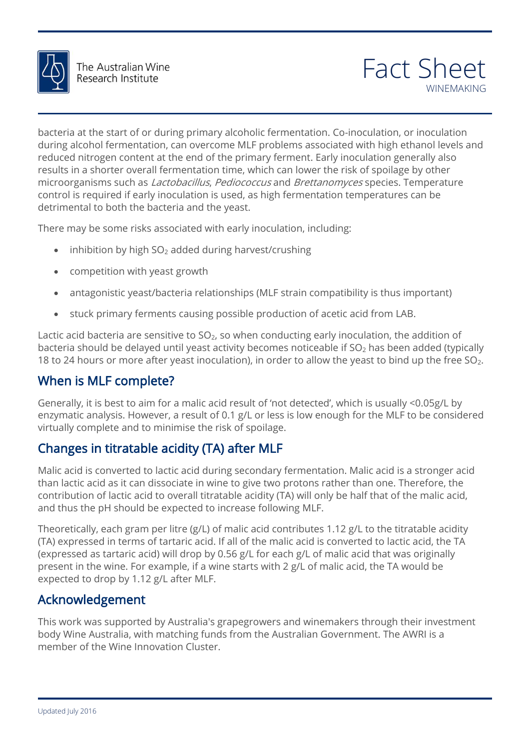

WINE METAL SERIES AND THE SERIES OF THE SERIES AND THE SERIES OF THE SERIES OF THE SERIES OF THE SERIES OF THE during dictribute increduction, can overcome were problems associated withingh ethanol revers and<br>reduced nitrogen content at the end of the primary ferment. Early inoculation generally also<br>results in a shorter overall fe *chettanomyces* species. Temperature<br>mentation temperatures can be bacteria at the start of or during primary alcoholic fermentation. Co-inoculation, or inoculation during alcohol fermentation, can overcome MLF problems associated with high ethanol levels and results in a shorter overall fermentation time, which can lower the risk of spoilage by other microorganisms such as *Lactobacillus, Pediococcus* and *Brettanomyces* species. Temperature control is required if early inoculation is used, as high fermentation temperatures can be detrimental to both the bacteria and the yeast.

 $\blacksquare$ There may be some risks associated with early inoculation, including:

- Navy-Set-Home- $\bullet$  inhibition by high SO<sub>2</sub> added during harvest/crushing
- competition with yeast growth
- antagonistic yeast/bacteria relationships (MLF strain compatibility is thus important)
- antagonistic yeast/bacteria relationships (ivich strain compatibility is thus important)<br>• Stuck primary ferments causing possible production of acetic acid from LAB.

Lactic acid bacteria are sensitive to SO<sub>2</sub>, so when conducting early inoculation, the addition of<br>bacteria should be delayed until yeast activity becomes noticeable if SO<sub>2</sub> has been added (typically COVER PILLOW-RESERVE Lactic acid bacteria are sensitive to  $SO<sub>2</sub>$ , so when conducting early inoculation, the addition of 18 to 24 hours or more after yeast inoculation), in order to allow the yeast to bind up the free  $SO_2$ .

## When is MLF complete?

Generally, it is best to aim for a malic acid result of 'not detected', which is usually <0.05g/L by<br>enzymatic analysis. However, a result of 0.1 g/L or less is low enough for the MLF to be considered<br>virtually complete an Generally, it is best to aim for a malic acid result of 'not detected', which is usually <0.05g/L by virtually complete and to minimise the risk of spoilage.

# Changes in titratable acidity (TA) after MLF

mane acid is converted to hacked daming becomen, reminiments in mane acid is a similar state.<br>than lactic acid as it can dissociate in wine to give two protons rather than one. Therefore, the<br>contribution of lactic acid to Malic acid is converted to lactic acid during secondary fermentation. Malic acid is a stronger acid contribution of lactic acid to overall titratable acidity (TA) will only be half that of the malic acid, and thus the pH should be expected to increase following MLF.

and thus the prishould be expected to increase rollowing with .<br>Theoretically, each gram per litre (g/L) of malic acid contributes 1.12 g/L to the titratable acidity (expressed as tartaric acid) will drop by 0.56 g/L for each g/L of malic acid that was originally<br>present in the wine. For example, if a wine starts with 2 g/L of malic acid, the TA would be (TA) expressed in terms of tartaric acid. If all of the malic acid is converted to lactic acid, the TA present in the wine. For example, if a wine starts with 2 g/L of malic acid, the TA would be expected to drop by 1.12 g/L after MLF.

### Acknowledgement

This work was supported by Australia's grapegrowers and winemakers through their investment body Wine Australia, with matching funds from the Australian Government. The AWRI is a member of the Wine Innovation Cluster.